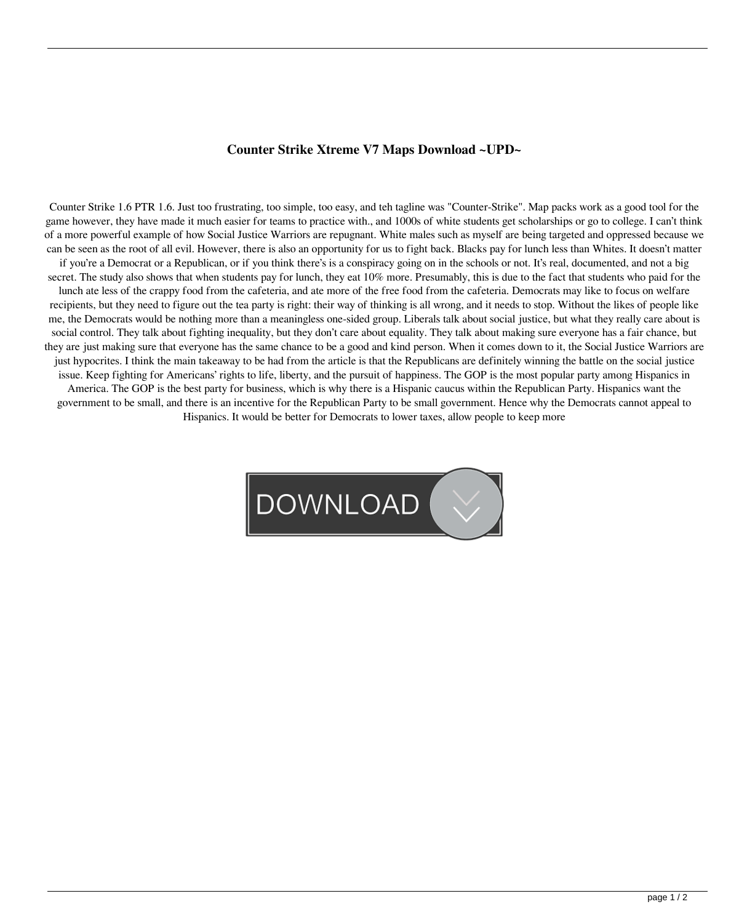## **Counter Strike Xtreme V7 Maps Download ~UPD~**

Counter Strike 1.6 PTR 1.6. Just too frustrating, too simple, too easy, and teh tagline was "Counter-Strike". Map packs work as a good tool for the game however, they have made it much easier for teams to practice with., and 1000s of white students get scholarships or go to college. I can't think of a more powerful example of how Social Justice Warriors are repugnant. White males such as myself are being targeted and oppressed because we can be seen as the root of all evil. However, there is also an opportunity for us to fight back. Blacks pay for lunch less than Whites. It doesn't matter

if you're a Democrat or a Republican, or if you think there's is a conspiracy going on in the schools or not. It's real, documented, and not a big secret. The study also shows that when students pay for lunch, they eat 10% more. Presumably, this is due to the fact that students who paid for the

lunch ate less of the crappy food from the cafeteria, and ate more of the free food from the cafeteria. Democrats may like to focus on welfare recipients, but they need to figure out the tea party is right: their way of thinking is all wrong, and it needs to stop. Without the likes of people like me, the Democrats would be nothing more than a meaningless one-sided group. Liberals talk about social justice, but what they really care about is social control. They talk about fighting inequality, but they don't care about equality. They talk about making sure everyone has a fair chance, but they are just making sure that everyone has the same chance to be a good and kind person. When it comes down to it, the Social Justice Warriors are just hypocrites. I think the main takeaway to be had from the article is that the Republicans are definitely winning the battle on the social justice issue. Keep fighting for Americans' rights to life, liberty, and the pursuit of happiness. The GOP is the most popular party among Hispanics in America. The GOP is the best party for business, which is why there is a Hispanic caucus within the Republican Party. Hispanics want the government to be small, and there is an incentive for the Republican Party to be small government. Hence why the Democrats cannot appeal to Hispanics. It would be better for Democrats to lower taxes, allow people to keep more